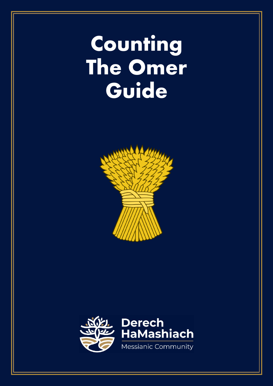# **Counting The Omer Guide**



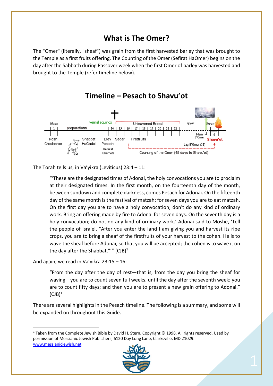### **What is The Omer?**

The "Omer" (literally, "sheaf") was grain from the first harvested barley that was brought to the Temple as a first fruits offering. The Counting of the Omer (Sefirat HaOmer) begins on the day after the Sabbath during Passover week when the first Omer of barley was harvested and brought to the Temple (refer timeline below).



**Timeline – Pesach to Shavu'ot**

The Torah tells us, in Va'yikra (Leviticus) 23:4 – 11:

"'These are the designated times of Adonai, the holy convocations you are to proclaim at their designated times. In the first month, on the fourteenth day of the month, between sundown and complete darkness, comes Pesach for Adonai. On the fifteenth day of the same month is the festival of matzah; for seven days you are to eat matzah. On the first day you are to have a holy convocation; don't do any kind of ordinary work. Bring an offering made by fire to Adonai for seven days. On the seventh day is a holy convocation; do not do any kind of ordinary work.' Adonai said to Moshe, 'Tell the people of Isra'el, "After you enter the land I am giving you and harvest its ripe crops, you are to bring a sheaf of the firstfruits of your harvest to the cohen. He is to wave the sheaf before Adonai, so that you will be accepted; the cohen is to wave it on the day after the Shabbat.""  $(CJB)^1$ 

And again, we read in Va'yikra 23:15 – 16:

"From the day after the day of rest—that is, from the day you bring the sheaf for waving—you are to count seven full weeks, until the day after the seventh week; you are to count fifty days; and then you are to present a new grain offering to Adonai."  $(CJB)^1$ 

There are several highlights in the Pesach timeline. The following is a summary, and some will be expanded on throughout this Guide.

 $1$  Taken from the Complete Jewish Bible by David H. Stern. Copyright © 1998. All rights reserved. Used by permission of Messianic Jewish Publishers, 6120 Day Long Lane, Clarksville, MD 21029. www.messianicjewish.net

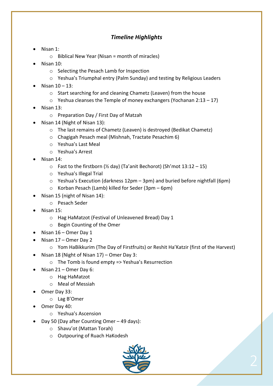#### *Timeline Highlights*

- Nisan 1:
	- $\circ$  Biblical New Year (Nisan = month of miracles)
- Nisan 10:
	- o Selecting the Pesach Lamb for Inspection
	- $\circ$  Yeshua's Triumphal entry (Palm Sunday) and testing by Religious Leaders
- Nisan 10 13:
	- o Start searching for and cleaning Chametz (Leaven) from the house
	- $\circ$  Yeshua cleanses the Temple of money exchangers (Yochanan 2:13 17)
- Nisan 13:
	- o Preparation Day / First Day of Matzah
- Nisan 14 (Night of Nisan 13):
	- o The last remains of Chametz (Leaven) is destroyed (Bedikat Chametz)
	- o Chagigah Pesach meal (Mishnah, Tractate Pesachim 6)
	- o Yeshua's Last Meal
	- o Yeshua's Arrest
- Nisan 14:
	- $\circ$  Fast to the firstborn (% day) (Ta'anit Bechorot) (Sh'mot 13:12 15)
	- o Yeshua's Illegal Trial
	- o Yeshua's Execution (darkness 12pm 3pm) and buried before nightfall (6pm)
	- o Korban Pesach (Lamb) killed for Seder (3pm 6pm)
- Nisan 15 (night of Nisan 14):
	- o Pesach Seder
- Nisan 15:
	- o Hag HaMatzot (Festival of Unleavened Bread) Day 1
	- o Begin Counting of the Omer
- Nisan 16 Omer Day 1
- Nisan 17 Omer Day 2
	- o Yom HaBikkurim (The Day of Firstfruits) or Reshit Ha'Katzir (first of the Harvest)
- Nisan 18 (Night of Nisan 17) Omer Day 3:
	- o The Tomb is found empty => Yeshua's Resurrection
- Nisan 21 Omer Day 6:
	- o Hag HaMatzot
	- o Meal of Messiah
- Omer Day 33:
	- o Lag B'Omer
- Omer Day 40:
	- o Yeshua's Ascension
- Day 50 (Day after Counting Omer 49 days):
	- o Shavu'ot (Mattan Torah)
	- o Outpouring of Ruach HaKodesh

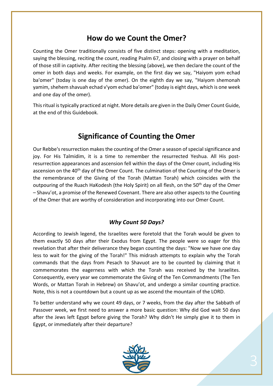### **How do we Count the Omer?**

Counting the Omer traditionally consists of five distinct steps: opening with a meditation, saying the blessing, reciting the count, reading Psalm 67, and closing with a prayer on behalf of those still in captivity. After reciting the blessing (above), we then declare the count of the omer in both days and weeks. For example, on the first day we say, "Haiyom yom echad ba'omer" (today is one day of the omer). On the eighth day we say, "Haiyom shemonah yamim, shehem shavuah echad v'yom echad ba'omer" (today is eight days, which is one week and one day of the omer).

This ritual is typically practiced at night. More details are given in the Daily Omer Count Guide, at the end of this Guidebook.

### **Significance of Counting the Omer**

Our Rebbe's resurrection makes the counting of the Omer a season of special significance and joy. For His Talmidim, it is a time to remember the resurrected Yeshua. All His postresurrection appearances and ascension fell within the days of the Omer count, including His ascension on the 40<sup>th</sup> day of the Omer Count. The culmination of the Counting of the Omer is the remembrance of the Giving of the Torah (Mattan Torah) which coincides with the outpouring of the Ruach HaKodesh (the Holy Spirit) on all flesh, on the 50<sup>th</sup> day of the Omer – Shavu'ot, a promise of the Renewed Covenant. There are also other aspects to the Counting of the Omer that are worthy of consideration and incorporating into our Omer Count.

#### *Why Count 50 Days?*

According to Jewish legend, the Israelites were foretold that the Torah would be given to them exactly 50 days after their Exodus from Egypt. The people were so eager for this revelation that after their deliverance they began counting the days: "Now we have one day less to wait for the giving of the Torah!" This midrash attempts to explain why the Torah commands that the days from Pesach to Shavuot are to be counted by claiming that it commemorates the eagerness with which the Torah was received by the Israelites. Consequently, every year we commemorate the Giving of the Ten Commandments (The Ten Words, or Mattan Torah in Hebrew) on Shavu'ot, and undergo a similar counting practice. Note, this is not a countdown but a count up as we ascend the mountain of the LORD.

To better understand why we count 49 days, or 7 weeks, from the day after the Sabbath of Passover week, we first need to answer a more basic question: Why did God wait 50 days after the Jews left Egypt before giving the Torah? Why didn't He simply give it to them in Egypt, or immediately after their departure?

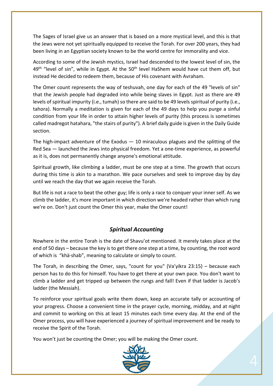The Sages of Israel give us an answer that is based on a more mystical level, and this is that the Jews were not yet spiritually equipped to receive the Torah. For over 200 years, they had been living in an Egyptian society known to be the world centre for immorality and vice.

According to some of the Jewish mystics, Israel had descended to the lowest level of sin, the  $49<sup>th</sup>$  "level of sin", while in Egypt. At the 50<sup>th</sup> level HaShem would have cut them off, but instead He decided to redeem them, because of His covenant with Avraham.

The Omer count represents the way of teshuvah, one day for each of the 49 "levels of sin" that the Jewish people had degraded into while being slaves in Egypt. Just as there are 49 levels of spiritual impurity (i.e., tumah) so there are said to be 49 levels spiritual of purity (i.e., tahora). Normally a meditation is given for each of the 49 days to help you purge a sinful condition from your life in order to attain higher levels of purity (this process is sometimes called madregot hatahara, "the stairs of purity"). A brief daily guide is given in the Daily Guide section.

The high-impact adventure of the Exodus  $-10$  miraculous plagues and the splitting of the Red Sea ― launched the Jews into physical freedom. Yet a one-time experience, as powerful as it is, does not permanently change anyone's emotional attitude.

Spiritual growth, like climbing a ladder, must be one step at a time. The growth that occurs during this time is akin to a marathon. We pace ourselves and seek to improve day by day until we reach the day that we again receive the Torah.

But life is not a race to beat the other guy; life is only a race to conquer your inner self. As we climb the ladder, it's more important in which direction we're headed rather than which rung we're on. Don't just count the Omer this year, make the Omer count!

#### *Spiritual Accounting*

Nowhere in the entire Torah is the date of Shavu'ot mentioned. It merely takes place at the end of 50 days – because the key is to get there one step at a time, by counting, the root word of which is "khä·shab", meaning to calculate or simply to count.

The Torah, in describing the Omer, says, "count for you" (Va'yikra 23:15) – because each person has to do this for himself. You have to get there at your own pace. You don't want to climb a ladder and get tripped up between the rungs and fall! Even if that ladder is Jacob's ladder (the Messiah).

To reinforce your spiritual goals write them down, keep an accurate tally or accounting of your progress. Choose a convenient time in the prayer cycle, morning, midday, and at night and commit to working on this at least 15 minutes each time every day. At the end of the Omer process, you will have experienced a journey of spiritual improvement and be ready to receive the Spirit of the Torah.

You won't just be counting the Omer; you will be making the Omer count.

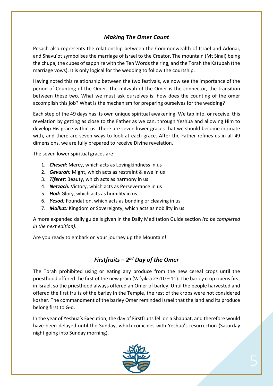#### *Making The Omer Count*

Pesach also represents the relationship between the Commonwealth of Israel and Adonai, and Shavu'ot symbolises the marriage of Israel to the Creator. The mountain (Mt Sinai) being the chupa, the cubes of sapphire with the Ten Words the ring, and the Torah the Katubah (the marriage vows). It is only logical for the wedding to follow the courtship.

Having noted this relationship between the two festivals, we now see the importance of the period of Counting of the Omer. The mitzvah of the Omer is the connector, the transition between these two. What we must ask ourselves is, how does the counting of the omer accomplish this job? What is the mechanism for preparing ourselves for the wedding?

Each step of the 49 days has its own unique spiritual awakening. We tap into, or receive, this revelation by getting as close to the Father as we can, through Yeshua and allowing Him to develop His grace within us. There are seven lower graces that we should become intimate with, and there are seven ways to look at each grace. After the Father refines us in all 49 dimensions, we are fully prepared to receive Divine revelation.

The seven lower spiritual graces are:

- 1. *Chesed:* Mercy, which acts as Lovingkindness in us
- 2. *Gevurah:* Might, which acts as restraint & awe in us
- 3. *Tiferet:* Beauty, which acts as harmony in us
- 4. *Netzach:* Victory, which acts as Perseverance in us
- 5. *Hod:* Glory, which acts as humility in us
- 6. *Yesod:* Foundation, which acts as bonding or cleaving in us
- 7. *Malkut:* Kingdom or Sovereignty, which acts as nobility in us

A more expanded daily guide is given in the Daily Meditation Guide section *(to be completed in the next edition)*.

Are you ready to embark on your journey up the Mountain!

#### *Firstfruits – 2nd Day of the Omer*

The Torah prohibited using or eating any produce from the new cereal crops until the priesthood offered the first of the new grain (Va'yikra  $23:10 - 11$ ). The barley crop ripens first in Israel, so the priesthood always offered an Omer of barley. Until the people harvested and offered the first fruits of the barley in the Temple, the rest of the crops were not considered kosher. The commandment of the barley Omer reminded Israel that the land and its produce belong first to G-d.

In the year of Yeshua's Execution, the day of Firstfruits fell on a Shabbat, and therefore would have been delayed until the Sunday, which coincides with Yeshua's resurrection (Saturday night going into Sunday morning).

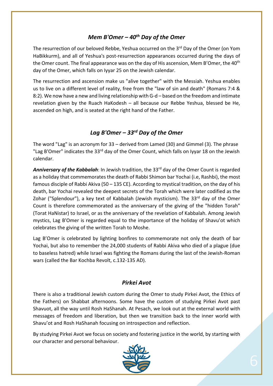#### *Mem B'Omer – 40th Day of the Omer*

The resurrection of our beloved Rebbe, Yeshua occurred on the 3<sup>rd</sup> Day of the Omer (on Yom HaBikkurm), and all of Yeshua's post-resurrection appearances occurred during the days of the Omer count. The final appearance was on the day of His ascension, Mem B'Omer, the 40<sup>th</sup> day of the Omer, which falls on Iyyar 25 on the Jewish calendar.

The resurrection and ascension make us "alive together" with the Messiah. Yeshua enables us to live on a different level of reality, free from the "law of sin and death" (Romans 7:4 & 8:2). We now have a new and living relationship with G-d – based on the freedom and intimate revelation given by the Ruach HaKodesh – all because our Rebbe Yeshua, blessed be He, ascended on high, and is seated at the right hand of the Father.

#### *Lag B'Omer – 33rd Day of the Omer*

The word "Lag" is an acronym for 33 – derived from Lamed (30) and Gimmel (3). The phrase "Lag B'Omer" indicates the 33<sup>rd</sup> day of the Omer Count, which falls on Iyyar 18 on the Jewish calendar.

Anniversary of the Kabbalah: In Jewish tradition, the 33<sup>rd</sup> day of the Omer Count is regarded as a holiday that commemorates the death of Rabbi Shimon bar Yochai (i.e, Rashbi), the most famous disciple of Rabbi Akiva (50 – 135 CE). According to mystical tradition, on the day of his death, bar Yochai revealed the deepest secrets of the Torah which were later codified as the Zohar ("Splendour"), a key text of Kabbalah (Jewish mysticism). The  $33^{rd}$  day of the Omer Count is therefore commemorated as the anniversary of the giving of the "hidden Torah" (Torat HaNistar) to Israel, or as the anniversary of the revelation of Kabbalah. Among Jewish mystics, Lag B'Omer is regarded equal to the importance of the holiday of Shavu'ot which celebrates the giving of the written Torah to Moshe.

Lag B'Omer is celebrated by lighting bonfires to commemorate not only the death of bar Yochai, but also to remember the 24,000 students of Rabbi Akiva who died of a plague (due to baseless hatred) while Israel was fighting the Romans during the last of the Jewish-Roman wars (called the Bar Kochba Revolt, c.132-135 AD).

#### *Pirkei Avot*

There is also a traditional Jewish custom during the Omer to study Pirkei Avot, the Ethics of the Fathers) on Shabbat afternoons. Some have the custom of studying Pirkei Avot past Shavuot, all the way until Rosh HaShanah. At Pesach, we look out at the external world with messages of freedom and liberation, but then we transition back to the inner world with Shavu'ot and Rosh HaShanah focusing on introspection and reflection.

By studying Pirkei Avot we focus on society and fostering justice in the world, by starting with our character and personal behaviour.

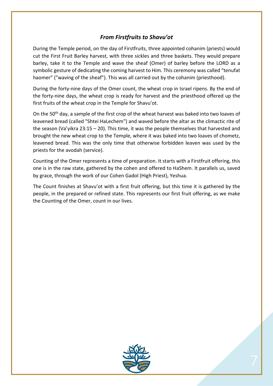#### *From Firstfruits to Shavu'ot*

During the Temple period, on the day of Firstfruits, three appointed cohanim (priests) would cut the First Fruit Barley harvest, with three sickles and three baskets. They would prepare barley, take it to the Temple and wave the sheaf (Omer) of barley before the LORD as a symbolic gesture of dedicating the coming harvest to Him. This ceremony was called "tenufat haomer" ("waving of the sheaf"). This was all carried out by the cohanim (priesthood).

During the forty-nine days of the Omer count, the wheat crop in Israel ripens. By the end of the forty-nine days, the wheat crop is ready for harvest and the priesthood offered up the first fruits of the wheat crop in the Temple for Shavu'ot.

On the 50<sup>th</sup> day, a sample of the first crop of the wheat harvest was baked into two loaves of leavened bread (called "Shtei HaLechem") and waved before the altar as the climactic rite of the season (Va'yikra 23:15 – 20). This time, it was the people themselves that harvested and brought the new wheat crop to the Temple, where it was baked into two loaves of chometz, leavened bread. This was the only time that otherwise forbidden leaven was used by the priests for the avodah (service).

Counting of the Omer represents a time of preparation. It starts with a Firstfruit offering, this one is in the raw state, gathered by the cohen and offered to HaShem. It parallels us, saved by grace, through the work of our Cohen Gadol (High Priest), Yeshua.

The Count finishes at Shavu'ot with a first fruit offering, but this time it is gathered by the people, in the prepared or refined state. This represents our first fruit offering, as we make the Counting of the Omer, count in our lives.

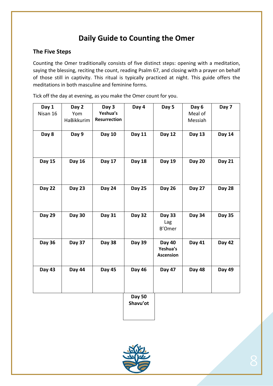## **Daily Guide to Counting the Omer**

#### **The Five Steps**

Counting the Omer traditionally consists of five distinct steps: opening with a meditation, saying the blessing, reciting the count, reading Psalm 67, and closing with a prayer on behalf of those still in captivity. This ritual is typically practiced at night. This guide offers the meditations in both masculine and feminine forms.

Tick off the day at evening, as you make the Omer count for you.

| Day 1<br>Nisan 16 | Day 2<br>Yom<br>HaBikkurim | Day 3<br>Yeshua's<br><b>Resurrection</b> | Day 4         | Day 5                                         | Day 6<br>Meal of<br>Messiah | Day 7         |
|-------------------|----------------------------|------------------------------------------|---------------|-----------------------------------------------|-----------------------------|---------------|
| Day 8             | Day 9                      | <b>Day 10</b>                            | <b>Day 11</b> | <b>Day 12</b>                                 | <b>Day 13</b>               | <b>Day 14</b> |
| <b>Day 15</b>     | <b>Day 16</b>              | Day 17                                   | <b>Day 18</b> | <b>Day 19</b>                                 | <b>Day 20</b>               | <b>Day 21</b> |
| <b>Day 22</b>     | <b>Day 23</b>              | <b>Day 24</b>                            | <b>Day 25</b> | <b>Day 26</b>                                 | <b>Day 27</b>               | <b>Day 28</b> |
| <b>Day 29</b>     | <b>Day 30</b>              | <b>Day 31</b>                            | <b>Day 32</b> | <b>Day 33</b><br>Lag<br><b>B'Omer</b>         | <b>Day 34</b>               | <b>Day 35</b> |
| <b>Day 36</b>     | <b>Day 37</b>              | <b>Day 38</b>                            | <b>Day 39</b> | <b>Day 40</b><br>Yeshua's<br><b>Ascension</b> | Day 41                      | <b>Day 42</b> |
| <b>Day 43</b>     | Day 44                     | <b>Day 45</b>                            | <b>Day 46</b> | <b>Day 47</b>                                 | <b>Day 48</b>               | <b>Day 49</b> |
|                   |                            |                                          | <b>Day 50</b> |                                               |                             |               |

**Shavu'ot**

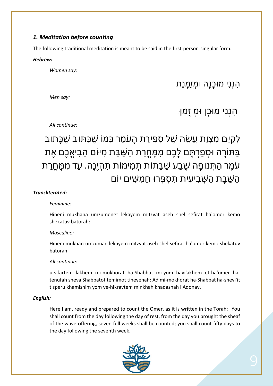#### *1. Meditation before counting*

The following traditional meditation is meant to be said in the first-person-singular form.

#### *Hebrew:*

*Women say:*

### תָנָמֻּזְמוּ הָנָכוּמ יִנְנִה

*Men say:*

# ןַמֻז ְמוּ ןָכוּמ יִנְנִה *:*

*All continue:*

# לִקַיֵּם מִצְוַת עֲשֶׂה שֶׁל סִפְירַת הַעֹמֶר כְּמוֹ שֵׁכָּתּוּב שֶׁבָּתוּב בַּתּוֹרַה וּסְפַרְתֵּם לַבֶם מִמַּחֲרַת הַשַּׁבַּת מִיּוֹם הַבִּיאֲבֶם אֶת ּעֹמֶר הַתְּנוּפָה שֶׁבַע שַׁבָּתוֹת תִּמִימוֹת תִּהְיֵנָה. עַד מִמַּח<u>ֵ</u>רַת הַשַּׁבַּת הַשָּׁבִיעִית תְּסִפְּרוּ חֲמָשִׁים יוֹם

#### *Transliterated:*

#### *Feminine:*

Hineni mukhana umzumenet lekayem mitzvat aseh shel sefirat ha'omer kemo shekatuv batorah:

#### *Masculine:*

Hineni mukhan umzuman lekayem mitzvat aseh shel sefirat ha'omer kemo shekatuv batorah:

#### *All continue:*

u-s'fartem lakhem mi-mokhorat ha-Shabbat mi-yom havi'akhem et-ha'omer hatenufah sheva Shabbatot temimot tiheyenah: Ad mi-mokhorat ha-Shabbat ha-shevi'it tisperu khamishim yom ve-hikravtem minkhah khadashah l'Adonay.

#### *English:*

Here I am, ready and prepared to count the Omer, as it is written in the Torah: "You shall count from the day following the day of rest, from the day you brought the sheaf of the wave-offering, seven full weeks shall be counted; you shall count fifty days to the day following the seventh week."

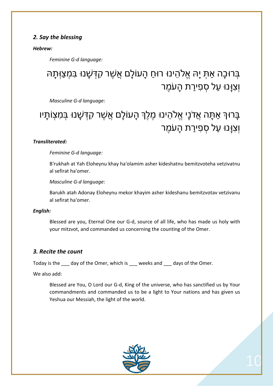#### *2. Say the blessing*

#### *Hebrew:*

*Feminine G-d language:*

# ּבְּרוּכָה אַתְּ יָהּ אֱלֹהֵינוּ רוּחַ הָעוֹלָם אֲשֶׁר קִדְּשָׁנוּ בִּמְצַוְּתָהּ וְצְוַנוּ עַל סָפְיַרַת הַעֹמֶר

*Masculine G-d language:*

# ַבָּרוּךְ אַתָּה אֲדֹנָי אֵלֹהֵינוּ מֵלֵךְ הָעוֹלָם אֲשֶׁר קִדְּשָׁנוּ בִּמְצִוֹתָיו וְצְוַּנוּ עַל סְפְיַרַת הַעֹמֶר

#### *Transliterated:*

*Feminine G-d language:*

B'rukhah at Yah Eloheynu khay ha'olamim asher kideshatnu bemitzvoteha vetzivatnu al sefirat ha'omer.

*Masculine G-d language:*

Barukh atah Adonay Eloheynu mekor khayim asher kideshanu bemitzvotav vetzivanu al sefirat ha'omer.

#### *English:*

Blessed are you, Eternal One our G-d, source of all life, who has made us holy with your mitzvot, and commanded us concerning the counting of the Omer.

#### *3. Recite the count*

Today is the day of the Omer, which is weeks and days of the Omer.

We also add:

Blessed are You, O Lord our G-d, King of the universe, who has sanctified us by Your commandments and commanded us to be a light to Your nations and has given us Yeshua our Messiah, the light of the world.



10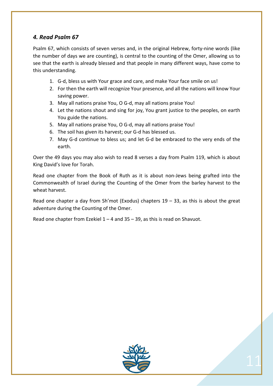#### *4. Read Psalm 67*

Psalm 67, which consists of seven verses and, in the original Hebrew, forty-nine words (like the number of days we are counting), is central to the counting of the Omer, allowing us to see that the earth is already blessed and that people in many different ways, have come to this understanding.

- 1. G-d, bless us with Your grace and care, and make Your face smile on us!
- 2. For then the earth will recognize Your presence, and all the nations will know Your saving power.
- 3. May all nations praise You, O G-d, may all nations praise You!
- 4. Let the nations shout and sing for joy, You grant justice to the peoples, on earth You guide the nations.
- 5. May all nations praise You, O G-d, may all nations praise You!
- 6. The soil has given its harvest; our G-d has blessed us.
- 7. May G-d continue to bless us; and let G-d be embraced to the very ends of the earth.

Over the 49 days you may also wish to read 8 verses a day from Psalm 119, which is about King David's love for Torah.

Read one chapter from the Book of Ruth as it is about non-Jews being grafted into the Commonwealth of Israel during the Counting of the Omer from the barley harvest to the wheat harvest.

Read one chapter a day from Sh'mot (Exodus) chapters  $19 - 33$ , as this is about the great adventure during the Counting of the Omer.

Read one chapter from Ezekiel 1 – 4 and 35 – 39, as this is read on Shavuot.